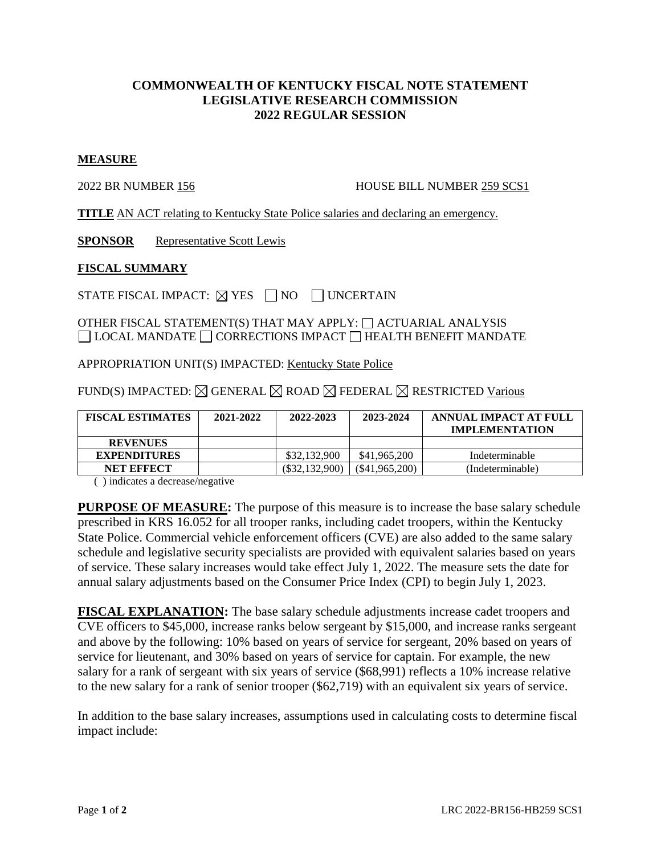## **COMMONWEALTH OF KENTUCKY FISCAL NOTE STATEMENT LEGISLATIVE RESEARCH COMMISSION 2022 REGULAR SESSION**

## **MEASURE**

2022 BR NUMBER 156 HOUSE BILL NUMBER 259 SCS1

**TITLE** AN ACT relating to Kentucky State Police salaries and declaring an emergency.

**SPONSOR** Representative Scott Lewis

## **FISCAL SUMMARY**

STATE FISCAL IMPACT:  $\boxtimes$  YES  $\Box$  NO  $\Box$  UNCERTAIN

OTHER FISCAL STATEMENT(S) THAT MAY APPLY:  $\Box$  ACTUARIAL ANALYSIS  $\Box$  LOCAL MANDATE  $\Box$  CORRECTIONS IMPACT  $\Box$  HEALTH BENEFIT MANDATE

APPROPRIATION UNIT(S) IMPACTED: Kentucky State Police

FUND(S) IMPACTED:  $\boxtimes$  GENERAL  $\boxtimes$  ROAD  $\boxtimes$  FEDERAL  $\boxtimes$  RESTRICTED Various

| <b>FISCAL ESTIMATES</b> | 2021-2022 | 2022-2023        | 2023-2024        | ANNUAL IMPACT AT FULL<br><b>IMPLEMENTATION</b> |
|-------------------------|-----------|------------------|------------------|------------------------------------------------|
| <b>REVENUES</b>         |           |                  |                  |                                                |
| <b>EXPENDITURES</b>     |           | \$32,132,900     | \$41,965,200     | Indeterminable                                 |
| <b>NET EFFECT</b>       |           | $(\$32.132.900)$ | $(\$41,965,200)$ | (Indeterminable)                               |

( ) indicates a decrease/negative

**PURPOSE OF MEASURE:** The purpose of this measure is to increase the base salary schedule prescribed in KRS 16.052 for all trooper ranks, including cadet troopers, within the Kentucky State Police. Commercial vehicle enforcement officers (CVE) are also added to the same salary schedule and legislative security specialists are provided with equivalent salaries based on years of service. These salary increases would take effect July 1, 2022. The measure sets the date for annual salary adjustments based on the Consumer Price Index (CPI) to begin July 1, 2023.

**FISCAL EXPLANATION:** The base salary schedule adjustments increase cadet troopers and CVE officers to \$45,000, increase ranks below sergeant by \$15,000, and increase ranks sergeant and above by the following: 10% based on years of service for sergeant, 20% based on years of service for lieutenant, and 30% based on years of service for captain. For example, the new salary for a rank of sergeant with six years of service (\$68,991) reflects a 10% increase relative to the new salary for a rank of senior trooper (\$62,719) with an equivalent six years of service.

In addition to the base salary increases, assumptions used in calculating costs to determine fiscal impact include: